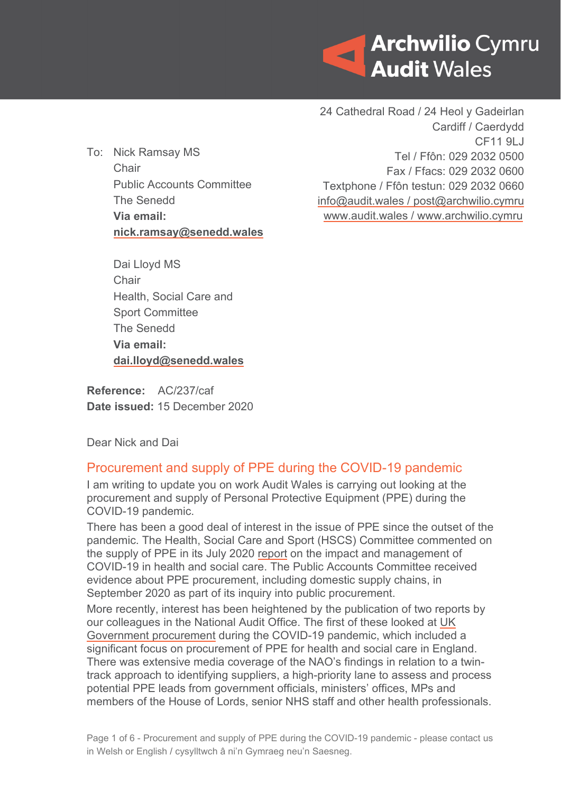

To: Nick Ramsay MS **Chair** Public Accounts Committee The Senedd **Via email: [nick.ramsay@senedd.wales](mailto:nick.ramsay@senedd.wales)**

24 Cathedral Road / 24 Heol y Gadeirlan Cardiff / Caerdydd CF11 9LJ Tel / Ffôn: 029 2032 0500 Fax / Ffacs: 029 2032 0600 Textphone / Ffôn testun: 029 2032 0660 [info@audit.wales](mailto:info@audit.wales) / post@archwilio.cymru [www.audit.wales](http://www.audit.wales/) / [www.archwilio.cymru](http://www.archwilio.cymru/)

Dai Lloyd MS **Chair** Health, Social Care and Sport Committee The Senedd **Via email: [dai.lloyd@senedd.wales](mailto:dai.lloyd@senedd.wales)**

**Reference:** AC/237/caf **Date issued:** 15 December 2020

Dear Nick and Dai

## Procurement and supply of PPE during the COVID-19 pandemic

I am writing to update you on work Audit Wales is carrying out looking at the procurement and supply of Personal Protective Equipment (PPE) during the COVID-19 pandemic.

There has been a good deal of interest in the issue of PPE since the outset of the pandemic. The Health, Social Care and Sport (HSCS) Committee commented on the supply of PPE in its July 2020 [report](https://senedd.wales/laid%20documents/cr-ld13304/cr-ld13304%20-e.pdf) on the impact and management of COVID-19 in health and social care. The Public Accounts Committee received evidence about PPE procurement, including domestic supply chains, in September 2020 as part of its inquiry into public procurement.

More recently, interest has been heightened by the publication of two reports by our colleagues in the National Audit Office. The first of these looked at UK [Government procurement](https://www.nao.org.uk/report/government-procurement-during-the-covid-19-pandemic/) during the COVID-19 pandemic, which included a significant focus on procurement of PPE for health and social care in England. There was extensive media coverage of the NAO's findings in relation to a twintrack approach to identifying suppliers, a high-priority lane to assess and process potential PPE leads from government officials, ministers' offices, MPs and members of the House of Lords, senior NHS staff and other health professionals.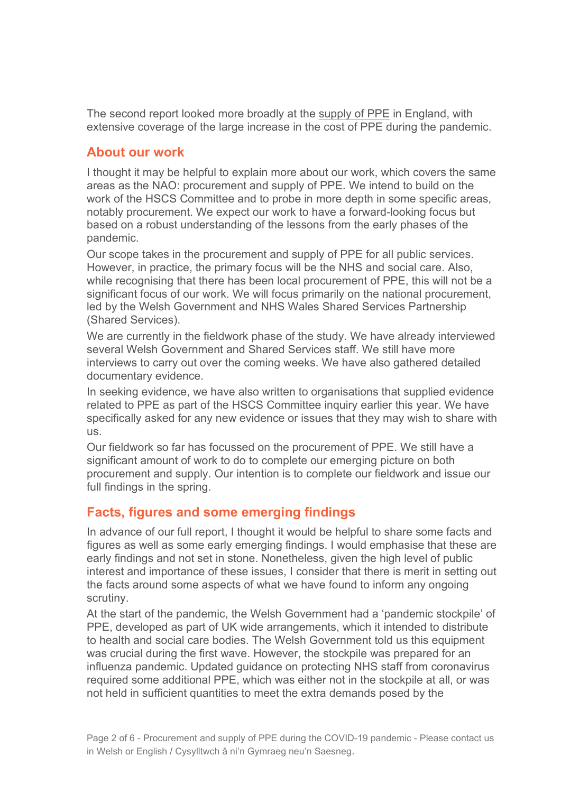The second report looked more broadly at the [supply of PPE](https://www.nao.org.uk/report/supplying-the-nhs-and-adult-social-care-sector-with-personal-protective-equipment-ppe/) in England, with extensive coverage of the large increase in the cost of PPE during the pandemic.

## **About our work**

I thought it may be helpful to explain more about our work, which covers the same areas as the NAO: procurement and supply of PPE. We intend to build on the work of the HSCS Committee and to probe in more depth in some specific areas, notably procurement. We expect our work to have a forward-looking focus but based on a robust understanding of the lessons from the early phases of the pandemic.

Our scope takes in the procurement and supply of PPE for all public services. However, in practice, the primary focus will be the NHS and social care. Also, while recognising that there has been local procurement of PPE, this will not be a significant focus of our work. We will focus primarily on the national procurement, led by the Welsh Government and NHS Wales Shared Services Partnership (Shared Services).

We are currently in the fieldwork phase of the study. We have already interviewed several Welsh Government and Shared Services staff. We still have more interviews to carry out over the coming weeks. We have also gathered detailed documentary evidence.

In seeking evidence, we have also written to organisations that supplied evidence related to PPE as part of the HSCS Committee inquiry earlier this year. We have specifically asked for any new evidence or issues that they may wish to share with us.

Our fieldwork so far has focussed on the procurement of PPE. We still have a significant amount of work to do to complete our emerging picture on both procurement and supply. Our intention is to complete our fieldwork and issue our full findings in the spring.

# **Facts, figures and some emerging findings**

In advance of our full report, I thought it would be helpful to share some facts and figures as well as some early emerging findings. I would emphasise that these are early findings and not set in stone. Nonetheless, given the high level of public interest and importance of these issues, I consider that there is merit in setting out the facts around some aspects of what we have found to inform any ongoing scrutiny.

At the start of the pandemic, the Welsh Government had a 'pandemic stockpile' of PPE, developed as part of UK wide arrangements, which it intended to distribute to health and social care bodies. The Welsh Government told us this equipment was crucial during the first wave. However, the stockpile was prepared for an influenza pandemic. Updated guidance on protecting NHS staff from coronavirus required some additional PPE, which was either not in the stockpile at all, or was not held in sufficient quantities to meet the extra demands posed by the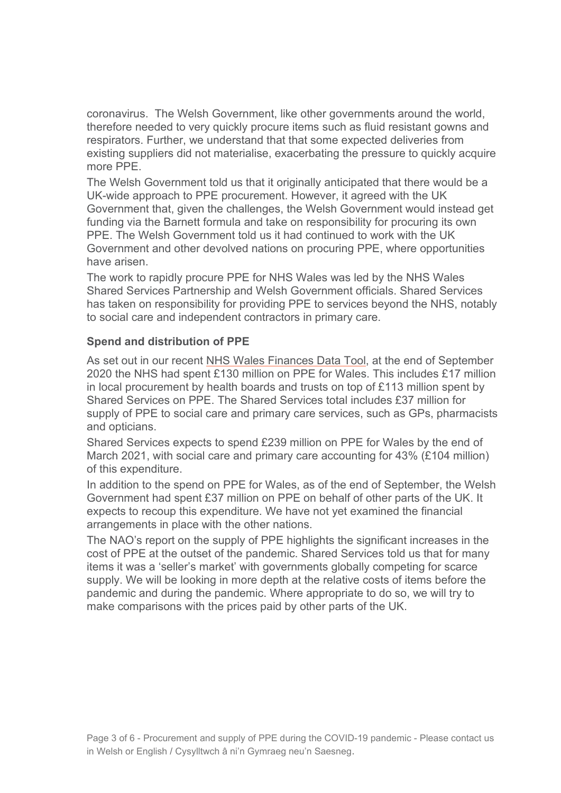coronavirus. The Welsh Government, like other governments around the world, therefore needed to very quickly procure items such as fluid resistant gowns and respirators. Further, we understand that that some expected deliveries from existing suppliers did not materialise, exacerbating the pressure to quickly acquire more PPE.

The Welsh Government told us that it originally anticipated that there would be a UK-wide approach to PPE procurement. However, it agreed with the UK Government that, given the challenges, the Welsh Government would instead get funding via the Barnett formula and take on responsibility for procuring its own PPE. The Welsh Government told us it had continued to work with the UK Government and other devolved nations on procuring PPE, where opportunities have arisen.

The work to rapidly procure PPE for NHS Wales was led by the NHS Wales Shared Services Partnership and Welsh Government officials. Shared Services has taken on responsibility for providing PPE to services beyond the NHS, notably to social care and independent contractors in primary care.

#### **Spend and distribution of PPE**

As set out in our recent [NHS Wales Finances Data Tool,](https://audit.wales/publication/nhs-wales-finances-data-tool-1) at the end of September 2020 the NHS had spent £130 million on PPE for Wales. This includes £17 million in local procurement by health boards and trusts on top of £113 million spent by Shared Services on PPE. The Shared Services total includes £37 million for supply of PPE to social care and primary care services, such as GPs, pharmacists and opticians.

Shared Services expects to spend £239 million on PPE for Wales by the end of March 2021, with social care and primary care accounting for 43% (£104 million) of this expenditure.

In addition to the spend on PPE for Wales, as of the end of September, the Welsh Government had spent £37 million on PPE on behalf of other parts of the UK. It expects to recoup this expenditure. We have not yet examined the financial arrangements in place with the other nations.

The NAO's report on the supply of PPE highlights the significant increases in the cost of PPE at the outset of the pandemic. Shared Services told us that for many items it was a 'seller's market' with governments globally competing for scarce supply. We will be looking in more depth at the relative costs of items before the pandemic and during the pandemic. Where appropriate to do so, we will try to make comparisons with the prices paid by other parts of the UK.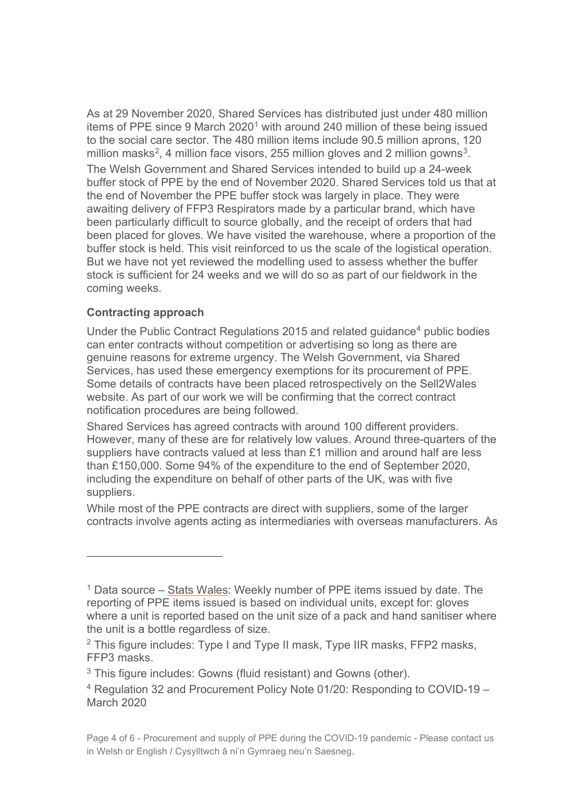As at 29 November 2020, Shared Services has distributed just under 480 million items of PPE since 9 March  $2020<sup>1</sup>$  $2020<sup>1</sup>$  $2020<sup>1</sup>$  with around 240 million of these being issued to the social care sector. The 480 million items include 90.5 million aprons, 120 million masks<sup>[2](#page-3-1)</sup>, 4 million face visors, 255 million gloves and 2 million gowns<sup>[3](#page-3-2)</sup>. The Welsh Government and Shared Services intended to build up a 24-week buffer stock of PPE by the end of November 2020. Shared Services told us that at the end of November the PPE buffer stock was largely in place. They were awaiting delivery of FFP3 Respirators made by a particular brand, which have been particularly difficult to source globally, and the receipt of orders that had been placed for gloves. We have visited the warehouse, where a proportion of the buffer stock is held. This visit reinforced to us the scale of the logistical operation. But we have not yet reviewed the modelling used to assess whether the buffer stock is sufficient for 24 weeks and we will do so as part of our fieldwork in the coming weeks.

### **Contracting approach**

Under the [Public Contract Regulations 2015](https://www.legislation.gov.uk/uksi/2015/102/contents/made) and related guidance<sup>[4](#page-3-3)</sup> public bodies can enter contracts without competition or advertising so long as there are genuine reasons for extreme urgency. The Welsh Government, via Shared Services, has used these emergency exemptions for its procurement of PPE. Some details of contracts have been placed retrospectively on the Sell2Wales website. As part of our work we will be confirming that the correct contract notification procedures are being followed.

Shared Services has agreed contracts with around 100 different providers. However, many of these are for relatively low values. Around three-quarters of the suppliers have contracts valued at less than £1 million and around half are less than £150,000. Some 94% of the expenditure to the end of September 2020, including the expenditure on behalf of other parts of the UK, was with five suppliers.

While most of the PPE contracts are direct with suppliers, some of the larger contracts involve agents acting as intermediaries with overseas manufacturers. As

<span id="page-3-0"></span> $1$  Data source – [Stats Wales:](https://gov.wales/personal-protective-equipment-items-issued) Weekly number of PPE items issued by date. The reporting of PPE items issued is based on individual units, except for: gloves where a unit is reported based on the unit size of a pack and hand sanitiser where the unit is a bottle regardless of size.

<span id="page-3-1"></span><sup>&</sup>lt;sup>2</sup> This figure includes: Type I and Type II mask, Type IIR masks, FFP2 masks, FFP3 masks.

<span id="page-3-2"></span> $3$  This figure includes: Gowns (fluid resistant) and Gowns (other).

<span id="page-3-3"></span><sup>4</sup> Regulation 32 and Procurement Policy Note 01/20: Responding to COVID-19 – March 2020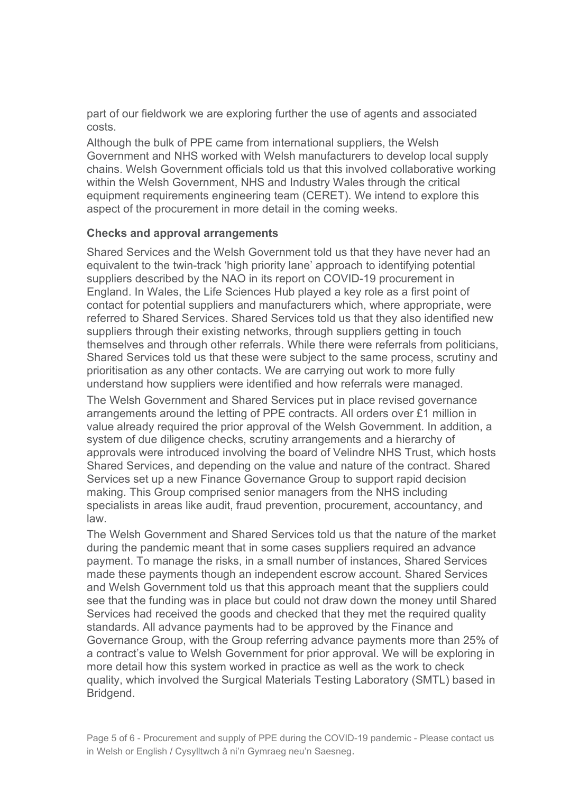part of our fieldwork we are exploring further the use of agents and associated costs.

Although the bulk of PPE came from international suppliers, the Welsh Government and NHS worked with Welsh manufacturers to develop local supply chains. Welsh Government officials told us that this involved collaborative working within the Welsh Government, NHS and Industry Wales through the critical equipment requirements engineering team (CERET). We intend to explore this aspect of the procurement in more detail in the coming weeks.

#### **Checks and approval arrangements**

Shared Services and the Welsh Government told us that they have never had an equivalent to the twin-track 'high priority lane' approach to identifying potential suppliers described by the NAO in its report on COVID-19 procurement in England. In Wales, the Life Sciences Hub played a key role as a first point of contact for potential suppliers and manufacturers which, where appropriate, were referred to Shared Services. Shared Services told us that they also identified new suppliers through their existing networks, through suppliers getting in touch themselves and through other referrals. While there were referrals from politicians, Shared Services told us that these were subject to the same process, scrutiny and prioritisation as any other contacts. We are carrying out work to more fully understand how suppliers were identified and how referrals were managed.

The Welsh Government and Shared Services put in place revised governance arrangements around the letting of PPE contracts. All orders over £1 million in value already required the prior approval of the Welsh Government. In addition, a system of due diligence checks, scrutiny arrangements and a hierarchy of approvals were introduced involving the board of Velindre NHS Trust, which hosts Shared Services, and depending on the value and nature of the contract. Shared Services set up a new Finance Governance Group to support rapid decision making. This Group comprised senior managers from the NHS including specialists in areas like audit, fraud prevention, procurement, accountancy, and law.

The Welsh Government and Shared Services told us that the nature of the market during the pandemic meant that in some cases suppliers required an advance payment. To manage the risks, in a small number of instances, Shared Services made these payments though an independent escrow account. Shared Services and Welsh Government told us that this approach meant that the suppliers could see that the funding was in place but could not draw down the money until Shared Services had received the goods and checked that they met the required quality standards. All advance payments had to be approved by the Finance and Governance Group, with the Group referring advance payments more than 25% of a contract's value to Welsh Government for prior approval. We will be exploring in more detail how this system worked in practice as well as the work to check quality, which involved the Surgical Materials Testing Laboratory (SMTL) based in Bridgend.